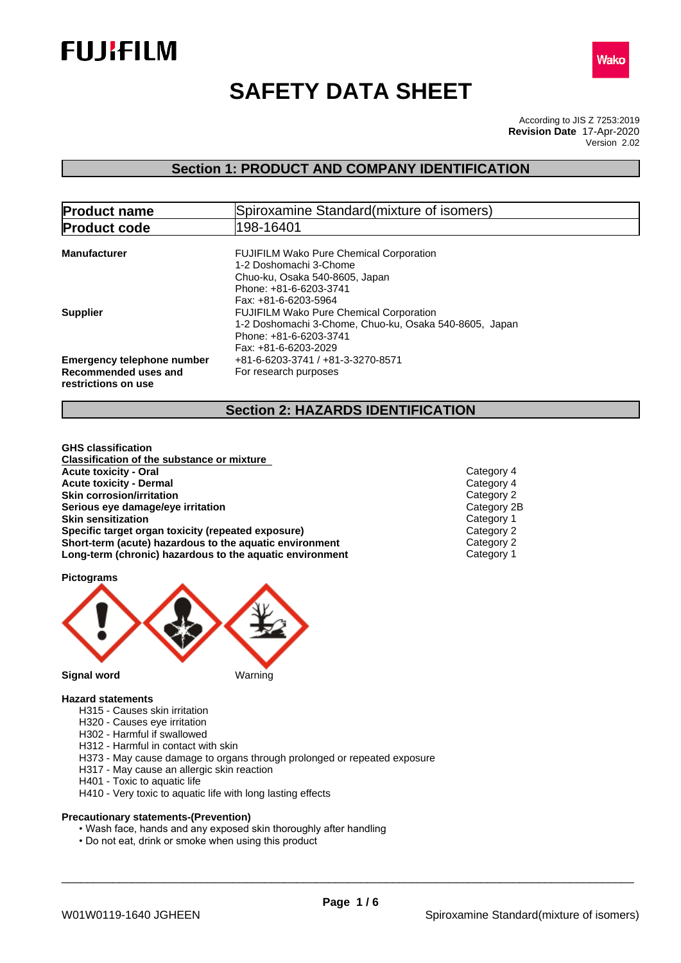



# **SAFETY DATA SHEET**

According to JIS Z 7253:2019 Version 2.02 **Revision Date** 17-Apr-2020

# **Section 1: PRODUCT AND COMPANY IDENTIFICATION**

| <b>Product name</b>                                                              | Spiroxamine Standard (mixture of isomers)                                                                                                                    |  |  |
|----------------------------------------------------------------------------------|--------------------------------------------------------------------------------------------------------------------------------------------------------------|--|--|
| <b>Product code</b>                                                              | 198-16401                                                                                                                                                    |  |  |
| <b>Manufacturer</b>                                                              | <b>FUJIFILM Wako Pure Chemical Corporation</b><br>1-2 Doshomachi 3-Chome<br>Chuo-ku, Osaka 540-8605, Japan<br>Phone: +81-6-6203-3741<br>Fax: +81-6-6203-5964 |  |  |
| <b>Supplier</b>                                                                  | <b>FUJIFILM Wako Pure Chemical Corporation</b><br>1-2 Doshomachi 3-Chome, Chuo-ku, Osaka 540-8605, Japan<br>Phone: +81-6-6203-3741<br>Fax: +81-6-6203-2029   |  |  |
| <b>Emergency telephone number</b><br>Recommended uses and<br>restrictions on use | +81-6-6203-3741 / +81-3-3270-8571<br>For research purposes                                                                                                   |  |  |

# **Section 2: HAZARDS IDENTIFICATION**

**GHS classification Classification of the substance or mixture Acute toxicity - Oral** Category 4<br> **Acute toxicity - Dermal** Category 4<br>
Category 4 **Acute toxicity - Dermal** Category 4<br> **Skin corrosion/irritation Skin corrosion/irritation**<br> **Serious eye damage/eye irritation**<br>
Category 2B **Serious** eye damage/eye irritation **Skin sensitization**<br> **Specific target organ toxicity (repeated exposure)**<br>
Category 2 **Specific target organ toxicity (repeated exposure) Short-term (acute) hazardous to the aquatic environment** Category 2 **Long-term (chronic) hazardous to the aquatic environment** Category 1

**Pictograms**



#### **Hazard statements**

- H315 Causes skin irritation
- H320 Causes eye irritation
- H302 Harmful if swallowed
- H312 Harmful in contact with skin
- H373 May cause damage to organs through prolonged or repeated exposure
- H317 May cause an allergic skin reaction
- H401 Toxic to aquatic life
- H410 Very toxic to aquatic life with long lasting effects

#### **Precautionary statements-(Prevention)**

- Wash face, hands and any exposed skin thoroughly after handling
- Do not eat, drink or smoke when using this product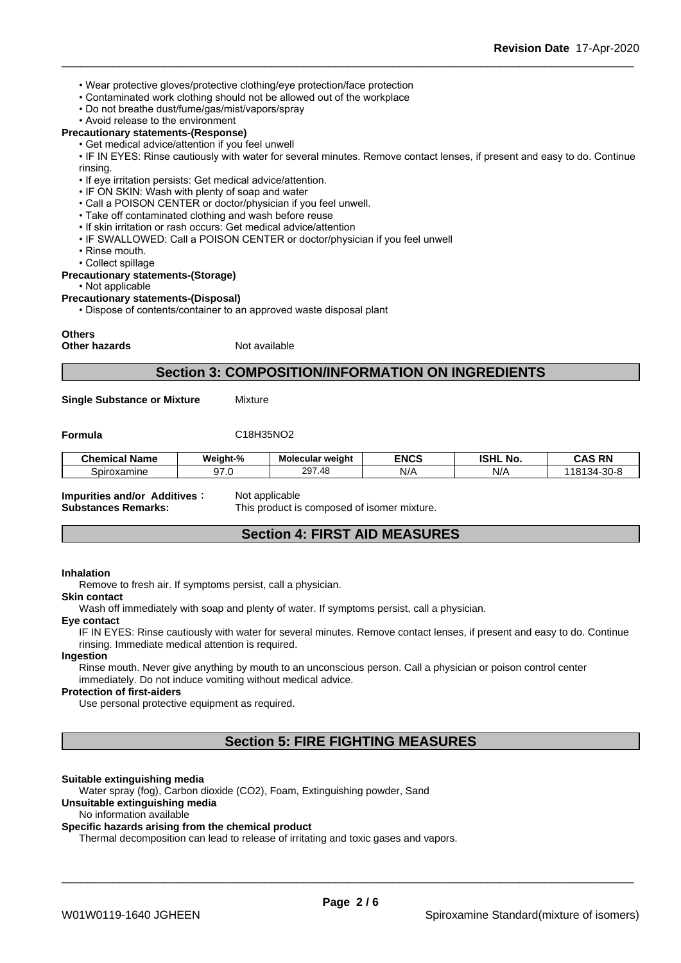- Wear protective gloves/protective clothing/eye protection/face protection
- Contaminated work clothing should not be allowed out of the workplace
- Do not breathe dust/fume/gas/mist/vapors/spray
- Avoid release to the environment
- **Precautionary statements-(Response)**
	- Get medical advice/attention if you feel unwell

• IF IN EYES: Rinse cautiously with water for several minutes. Remove contact lenses, if present and easy to do. Continue rinsing.

- If eve irritation persists: Get medical advice/attention.
- IF ON SKIN: Wash with plenty of soap and water
- Call a POISON CENTER or doctor/physician if you feel unwell.
- Take off contaminated clothing and wash before reuse
- If skin irritation or rash occurs: Get medical advice/attention
- IF SWALLOWED: Call a POISON CENTER or doctor/physician if you feel unwell
- Rinse mouth.
- Collect spillage

#### **Precautionary statements-(Storage)**

 $\cdot$  Not applicable

**Precautionary statements-(Disposal)**

• Dispose of contents/container to an approved waste disposal plant

#### **Others**

**Other hazards** Not available

### **Section 3: COMPOSITION/INFORMATION ON INGREDIENTS**

**Single Substance or Mixture** Mixture

**Formula** C18H35NO2

| . .<br>Chemical Name | Weiaht-%                     | Molecular weight                                       | <b>ENCS</b> | <b>ISHL</b><br>. NO. | <b>CAS RN</b><br>CAS<br>-nr                   |
|----------------------|------------------------------|--------------------------------------------------------|-------------|----------------------|-----------------------------------------------|
| Spiroxamine          | $\sim$<br>$\sim$<br>ີ<br>. . | $\Delta$ <sup><math>\Omega</math></sup><br>297<br>. דע | N/A         | N/A                  | $\cap$ $\cap$<br>1012<br>-ას-მ<br>- 34 -<br>- |

**Impurities and/or Additives**: Not applicable

**Substances Remarks:** This product is composed of isomer mixture.

# **Section 4: FIRST AID MEASURES**

#### **Inhalation**

Remove to fresh air. If symptoms persist, call a physician.

#### **Skin contact**

Wash off immediately with soap and plenty of water. If symptoms persist, call a physician.

#### **Eye contact**

IF IN EYES: Rinse cautiously with water for several minutes. Remove contact lenses, if present and easy to do. Continue rinsing. Immediate medical attention is required.

#### **Ingestion**

Rinse mouth. Never give anything by mouth to an unconscious person. Call a physician or poison control center immediately. Do not induce vomiting without medical advice.

#### **Protection of first-aiders**

Use personal protective equipment as required.

**Section 5: FIRE FIGHTING MEASURES**

#### **Suitable extinguishing media**

Water spray (fog), Carbon dioxide (CO2), Foam, Extinguishing powder, Sand **Unsuitable extinguishing media**

#### No information available

### **Specific hazards arising from the chemical product**

Thermal decomposition can lead to release of irritating and toxic gases and vapors.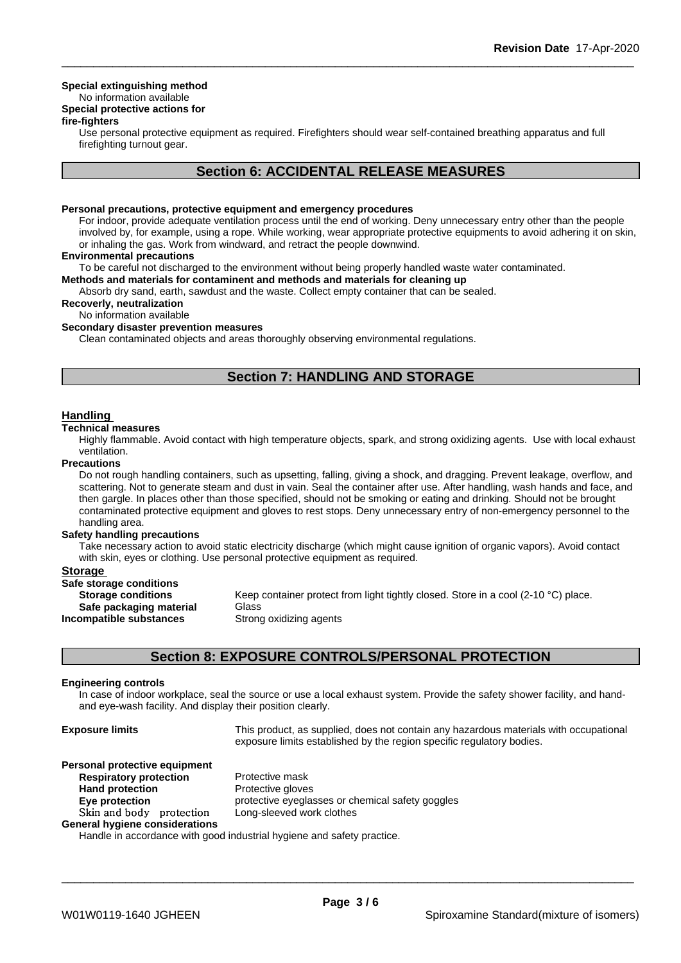#### **Special extinguishing method**

# No information available

# **Special protective actions for**

#### **fire-fighters**

Use personal protective equipment as required.Firefighters should wear self-contained breathing apparatus and full firefighting turnout gear.

## **Section 6: ACCIDENTAL RELEASE MEASURES**

#### **Personal precautions, protective equipment and emergency procedures**

For indoor, provide adequate ventilation process until the end of working. Deny unnecessary entry other than the people involved by, for example, using a rope. While working, wear appropriate protective equipments to avoid adhering it on skin, or inhaling the gas. Work from windward, and retract the people downwind.

#### **Environmental precautions**

To be careful not discharged to the environment without being properly handled waste water contaminated.

### **Methods and materials for contaminent and methods and materials for cleaning up**

Absorb dry sand, earth, sawdust and the waste. Collect empty container that can be sealed.

#### **Recoverly, neutralization**

No information available

#### **Secondary disaster prevention measures**

Clean contaminated objects and areas thoroughly observing environmental regulations.

# **Section 7: HANDLING AND STORAGE**

#### **Handling**

#### **Technical measures**

Highly flammable. Avoid contact with high temperature objects, spark, and strong oxidizing agents. Use with local exhaust ventilation.

#### **Precautions**

Do not rough handling containers, such as upsetting, falling, giving a shock, and dragging. Prevent leakage, overflow, and scattering. Not to generate steam and dust in vain. Seal the container after use. After handling, wash hands and face, and then gargle. In places other than those specified, should not be smoking or eating and drinking. Should not be brought contaminated protective equipment and gloves to rest stops. Deny unnecessary entry of non-emergency personnel to the handling area.

#### **Safety handling precautions**

Take necessary action to avoid static electricity discharge (which might cause ignition of organic vapors). Avoid contact with skin, eyes or clothing. Use personal protective equipment as required.

#### **Storage**

| Safe storage conditions   |                                                                                    |
|---------------------------|------------------------------------------------------------------------------------|
| <b>Storage conditions</b> | Keep container protect from light tightly closed. Store in a cool (2-10 °C) place. |
| Safe packaging material   | Glass                                                                              |
| Incompatible substances   | Strong oxidizing agents                                                            |

### **Section 8: EXPOSURE CONTROLS/PERSONAL PROTECTION**

#### **Engineering controls**

In case of indoor workplace, seal the source or use a local exhaust system. Provide the safety shower facility, and handand eye-wash facility. And display their position clearly.

| <b>Exposure limits</b>         | This product, as supplied, does not contain any hazardous materials with occupational<br>exposure limits established by the region specific regulatory bodies. |  |  |
|--------------------------------|----------------------------------------------------------------------------------------------------------------------------------------------------------------|--|--|
| Personal protective equipment  |                                                                                                                                                                |  |  |
| <b>Respiratory protection</b>  | Protective mask                                                                                                                                                |  |  |
| <b>Hand protection</b>         | Protective gloves                                                                                                                                              |  |  |
| Eye protection                 | protective eyeglasses or chemical safety goggles                                                                                                               |  |  |
| Skin and body protection       | Long-sleeved work clothes                                                                                                                                      |  |  |
| General hygiene considerations |                                                                                                                                                                |  |  |
|                                | Handle in accordance with good industrial hygiene and safety practice                                                                                          |  |  |

Handle in accordance with good industrial hygiene and safety practice.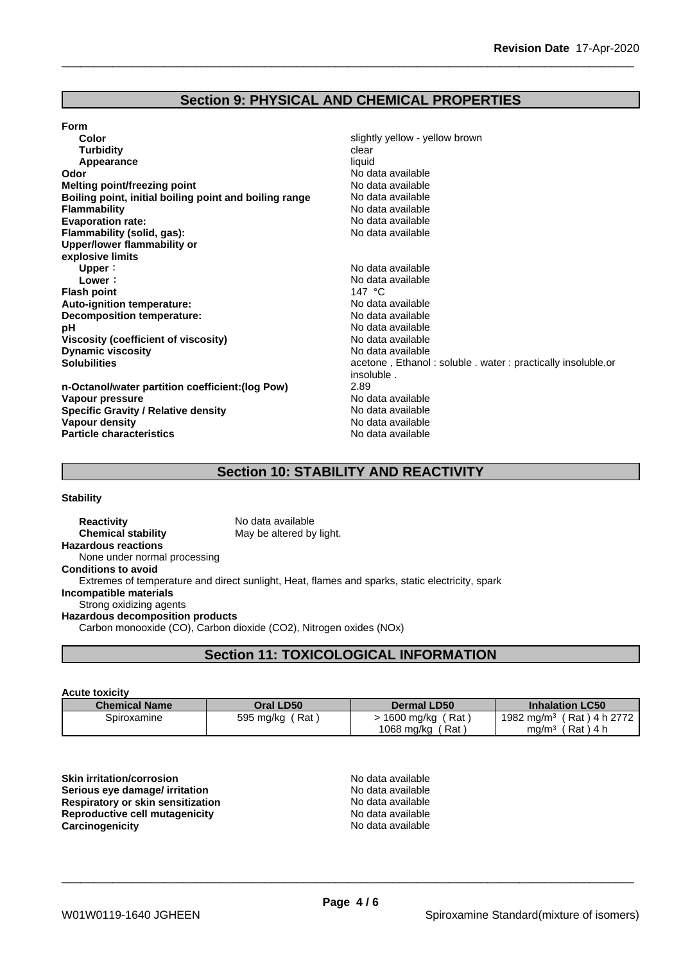# **Section 9: PHYSICAL AND CHEMICAL PROPERTIES**

#### **Form**

| Color                                                  | slightly yellow - yellow brown                              |
|--------------------------------------------------------|-------------------------------------------------------------|
| <b>Turbidity</b>                                       | clear                                                       |
| Appearance                                             | liquid                                                      |
| Odor                                                   | No data available                                           |
| Melting point/freezing point                           | No data available                                           |
| Boiling point, initial boiling point and boiling range | No data available                                           |
| <b>Flammability</b>                                    | No data available                                           |
| <b>Evaporation rate:</b>                               | No data available                                           |
| Flammability (solid, gas):                             | No data available                                           |
| Upper/lower flammability or                            |                                                             |
| explosive limits                                       |                                                             |
| Upper:                                                 | No data available                                           |
| Lower:                                                 | No data available                                           |
| <b>Flash point</b>                                     | 147 $^{\circ}$ C                                            |
| Auto-ignition temperature:                             | No data available                                           |
| Decomposition temperature:                             | No data available                                           |
| рH                                                     | No data available                                           |
| Viscosity (coefficient of viscosity)                   | No data available                                           |
| <b>Dynamic viscosity</b>                               | No data available                                           |
| <b>Solubilities</b>                                    | acetone, Ethanol: soluble. water: practically insoluble, or |
|                                                        | insoluble.                                                  |
| n-Octanol/water partition coefficient: (log Pow)       | 2.89                                                        |
| Vapour pressure                                        | No data available                                           |
| <b>Specific Gravity / Relative density</b>             | No data available                                           |
| Vapour density                                         | No data available                                           |
| <b>Particle characteristics</b>                        | No data available                                           |

# **Section 10: STABILITY AND REACTIVITY**

**Stability**

**Reactivity** No data available<br> **Chemical stability** May be altered by May be altered by light. **Hazardous reactions** None under normal processing **Conditions to avoid** Extremes of temperature and direct sunlight, Heat, flames and sparks, static electricity, spark **Incompatible materials** Strong oxidizing agents **Hazardous decomposition products** Carbon monooxide (CO), Carbon dioxide (CO2), Nitrogen oxides (NOx)

### **Section 11: TOXICOLOGICAL INFORMATION**

#### **Acute toxicity**

| <b>Chemical Name</b> | Oral LD50          | <b>Dermal LD50</b>             | <b>Inhalation LC50</b>           |
|----------------------|--------------------|--------------------------------|----------------------------------|
| Spiroxamine          | ' Rat<br>595 mg/kg | Rat <sup>1</sup><br>1600 mg/kg | (Rat ) 4 h 2772<br>1982 mg/m $3$ |
|                      |                    | 1068 mg/kg<br>$'$ Rat,         | (Rat)4 h<br>mg/m $^3\,$          |

**Skin irritation/corrosion**<br> **Serious eve damage/ irritation**<br> **Serious eve damage/ irritation Serious** eye damage/ irritation **Respiratory or skin sensitization**<br> **Reproductive cell mutagenicity**<br> **Reproductive cell mutagenicity Reproductive cell mutagenicity**<br> **Carcinogenicity**<br>
Carcinogenicity<br>
No data available **Carcinogenicity**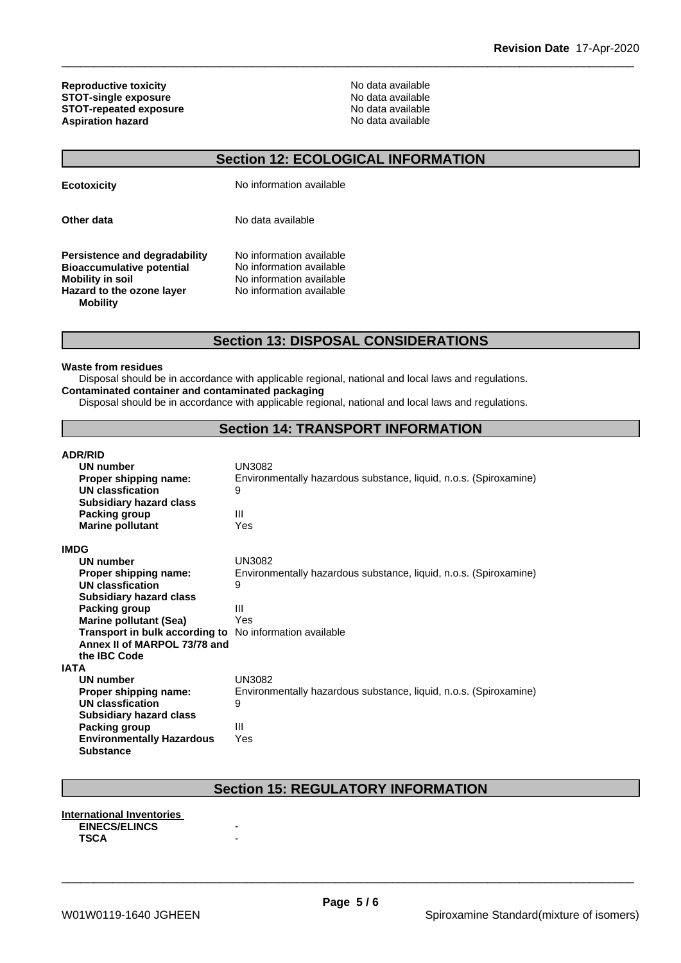**Reproductive toxicity**<br> **STOT-single exposure**<br> **STOT-single exposure STOT-single exposure**<br> **STOT-single exposure**<br> **STOT-repeated exposure**<br>
No data available **STOT-repeated exposure**<br> **Aspiration hazard**<br> **Aspiration hazard**<br> **Aspiration hazard Aspiration hazard** 

# **Section 12: ECOLOGICAL INFORMATION**

| <b>Ecotoxicity</b>                                                                                                                    | No information available                                                                                     |
|---------------------------------------------------------------------------------------------------------------------------------------|--------------------------------------------------------------------------------------------------------------|
| Other data                                                                                                                            | No data available                                                                                            |
| Persistence and degradability<br><b>Bioaccumulative potential</b><br>Mobility in soil<br>Hazard to the ozone layer<br><b>Mobility</b> | No information available<br>No information available<br>No information available<br>No information available |

### **Section 13: DISPOSAL CONSIDERATIONS**

#### **Waste from residues**

Disposal should be in accordance with applicable regional, national and local laws and regulations. **Contaminated container and contaminated packaging**

Disposal should be in accordance with applicable regional, national and local laws and regulations.

# **Section 14: TRANSPORT INFORMATION**

| <b>ADR/RID</b>                   |                                                                   |
|----------------------------------|-------------------------------------------------------------------|
| UN number                        | <b>UN3082</b>                                                     |
| Proper shipping name:            | Environmentally hazardous substance, liquid, n.o.s. (Spiroxamine) |
| UN classfication                 | 9                                                                 |
| <b>Subsidiary hazard class</b>   |                                                                   |
| <b>Packing group</b>             | Ш                                                                 |
| <b>Marine pollutant</b>          | Yes                                                               |
| <b>IMDG</b>                      |                                                                   |
| <b>UN number</b>                 | <b>UN3082</b>                                                     |
| Proper shipping name:            | Environmentally hazardous substance, liquid, n.o.s. (Spiroxamine) |
| <b>UN classfication</b>          | 9                                                                 |
| <b>Subsidiary hazard class</b>   |                                                                   |
| Packing group                    | Ш                                                                 |
| <b>Marine pollutant (Sea)</b>    | Yes                                                               |
| Transport in bulk according to   | No information available                                          |
| Annex II of MARPOL 73/78 and     |                                                                   |
| the IBC Code                     |                                                                   |
| IATA                             |                                                                   |
| UN number                        | <b>UN3082</b>                                                     |
| Proper shipping name:            | Environmentally hazardous substance, liquid, n.o.s. (Spiroxamine) |
| UN classfication                 | 9                                                                 |
| <b>Subsidiary hazard class</b>   |                                                                   |
| Packing group                    | $\mathbf{III}$                                                    |
| <b>Environmentally Hazardous</b> | Yes                                                               |
| <b>Substance</b>                 |                                                                   |

# **Section 15: REGULATORY INFORMATION**

#### **International Inventories EINECS/ELINCS TSCA** -